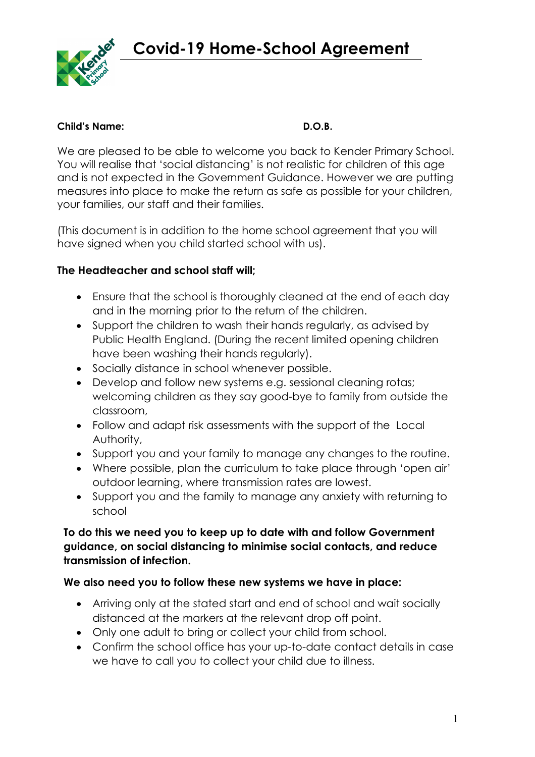**Covid-19 Home-School Agreement**



#### **Child's Name: D.O.B.**

We are pleased to be able to welcome you back to Kender Primary School. You will realise that 'social distancing' is not realistic for children of this age and is not expected in the Government Guidance. However we are putting measures into place to make the return as safe as possible for your children, your families, our staff and their families.

(This document is in addition to the home school agreement that you will have signed when you child started school with us).

## **The Headteacher and school staff will;**

- Ensure that the school is thoroughly cleaned at the end of each day and in the morning prior to the return of the children.
- Support the children to wash their hands regularly, as advised by Public Health England. (During the recent limited opening children have been washing their hands regularly).
- Socially distance in school whenever possible.
- Develop and follow new systems e.g. sessional cleaning rotas; welcoming children as they say good-bye to family from outside the classroom,
- Follow and adapt risk assessments with the support of the Local Authority,
- Support you and your family to manage any changes to the routine.
- Where possible, plan the curriculum to take place through 'open air' outdoor learning, where transmission rates are lowest.
- Support you and the family to manage any anxiety with returning to school

## **To do this we need you to keep up to date with and follow Government guidance, on social distancing to minimise social contacts, and reduce transmission of infection.**

#### **We also need you to follow these new systems we have in place:**

- Arriving only at the stated start and end of school and wait socially distanced at the markers at the relevant drop off point.
- Only one adult to bring or collect your child from school.
- Confirm the school office has your up-to-date contact details in case we have to call you to collect your child due to illness.